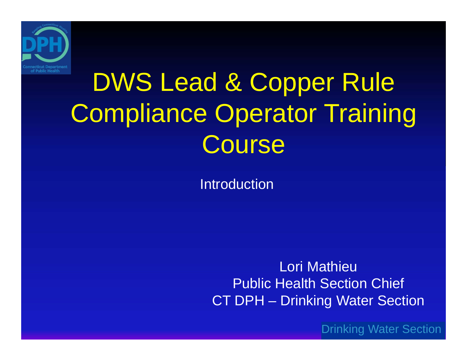

# DWS Lead & Copper Rule Compliance Operator Training **Course**

**Introduction** 

Lori Mathieu Public Health Section Chief CT DPH – Drinking Water Section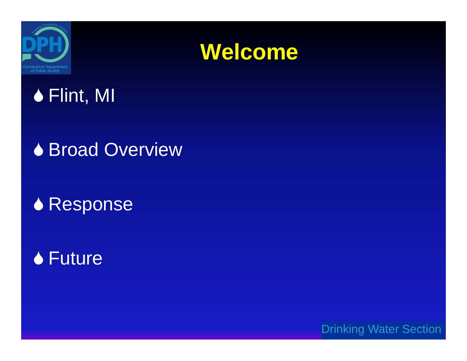



## Flint, MI

#### **◆ Broad Overview**

#### **◆ Response**

### **◆ Future**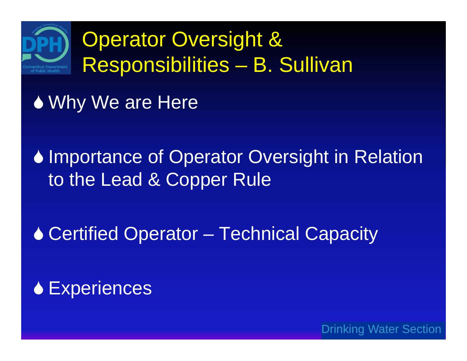

#### ◆ Why We are Here

♦ Importance of Operator Oversight in Relation to the Lead & Copper Rule

◆ Certified Operator – Technical Capacity

**◆ Experiences**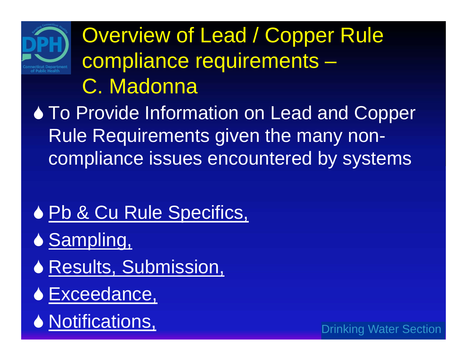

Overview of Lead / Copper Rule compliance requirements – C. Madonna

◆ To Provide Information on Lead and Copper Rule Requirements given the many noncompliance issues encountered by systems

- <u>◆ Pb & Cu Rule Specifics,</u>
- **◆ Sampling,**
- ◆ Results, Submission,
- ◆ Exceedance,
- **◆ Notifications,**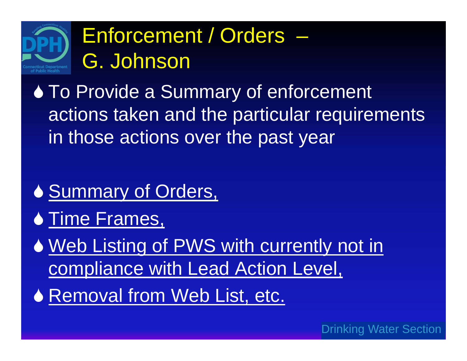## Enforcement / Orders – G. Johnson

◆ To Provide a Summary of enforcement actions taken and the particular requirements in those actions over the past year

- **♦ Summary of Orders,**
- **◆ Time Frames,**

◆ Web Listing of PWS with currently not in compliance with Lead Action Level,

◆ Removal from Web List, etc.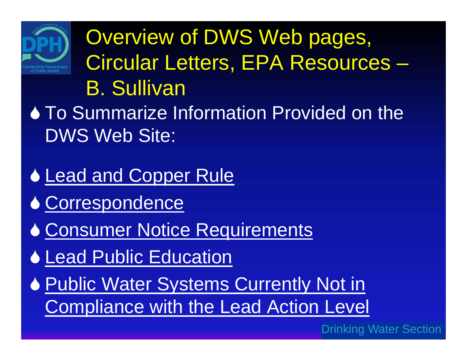

Overview of DWS Web pages, Circular Letters, EPA Resources – B. Sullivan

◆ To Summarize Information Provided on the DWS Web Site:

◆ Lead and Copper Rule

◆ Correspondence

◆ Consumer Notice Requirements

◆ Lead Public Education

◆ Public Water Systems Currently Not in Compliance with the Lead Action Level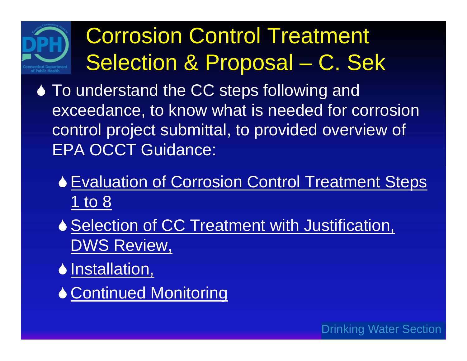## Corrosion Control Treatment Selection & Proposal – C. Sek

◆ To understand the CC steps following and exceedance, to know what is needed for corrosion control project submittal, to provided overview of EPA OCCT Guidance:

- Evaluation of Corrosion Control Treatment Steps 1 to 8
- ◆ Selection of CC Treatment with Justification, DWS Review,
- **↓Installation,**
- ◆ Continued Monitoring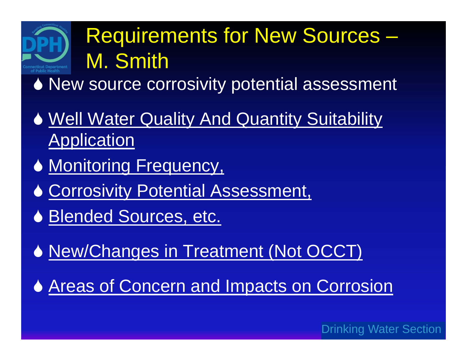## Requirements for New Sources – M. Smith

New source corrosivity potential assessment

- ◆ Well Water Quality And Quantity Suitability Application
- ◆ Monitoring Frequency,
- ◆ Corrosivity Potential Assessment,
- ◆ Blended Sources, etc.
- ◆ New/Changes in Treatment (Not OCCT)
- ♦ Areas of Concern and Impacts on Corrosion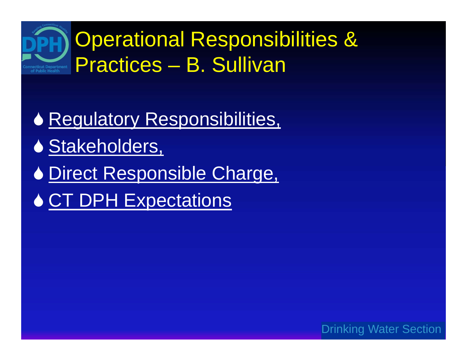

◆ Regulatory Responsibilities, ◆ Stakeholders, ◆ Direct Responsible Charge, ◆ CT DPH Expectations

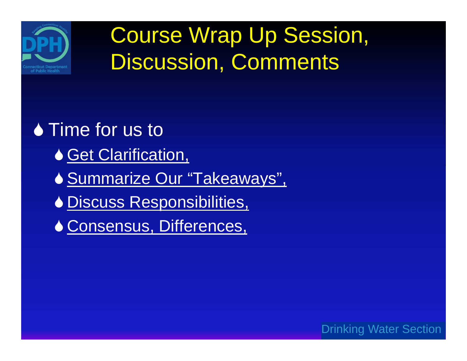

## Course Wrap Up Session, Discussion, Comments

◆ Time for us to ◆ Get Clarification, ◆ Summarize Our "Takeaways", Discuss Responsibilities, Consensus, Differences,